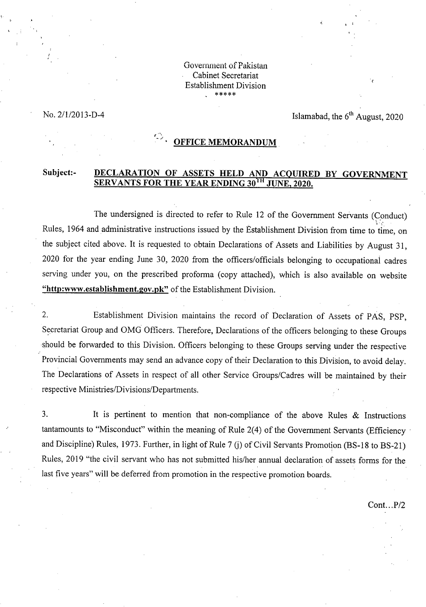Government of Pakistan Cabinet Secretariat Establishment Division

# No.  $2/1/2013-D-4$  Islamabad, the  $6<sup>th</sup>$  August, 2020

# *<u>C<sub>2</sub>* **OFFICE MEMORANDUM**</u>

## **Subject:- DECLARATION OF ASSETS HELD AND ACQUIRED BY GOVERNMENT SERVANTS FOR THE YEAR ENDING 30<sup>TH</sup> JUNE, 2020.**

The undersigned is directed to refer to Rule 12 of the Government Servants (Conduct) Rules, 1964 and administrative instructions issued by the Establishment Division from time to time, on the subject cited above. It is requested to obtain Declarations of Assets and Liabilities by August 31, 2020 for the year ending June 30, 2020 from the officers/officials belonging to occupational cadres serving under you, on the prescribed proforma (copy attached), which is also available on website **"http:www.establishment.gov.pk"** of the Establishment Division.

 $2.$ Establishment Division maintains the record of Declaration of Assets of PAS, PSP, Secretariat Group and OMG Officers. Therefore, Declarations of the officers belonging to these Groups should be forwarded to this Division. Officers belonging to these Groups serving under the respective Provincial Governments may send an advance copy of their Declaration to this Division, to avoid delay. The Declarations of Assets in respect of all other Service Groups/Cadres will be maintained by their respective Ministries/Divisions/Departments.

 $\overline{3}$ . It is pertinent to mention that non-compliance of the above Rules  $\&$  Instructions tantamounts to "Misconduct" within the meaning of Rule 2(4) of the Government Servants (Efficiency and Discipline) Rules, 1973. Further, in light of Rule 7 (j) of Civil Servants Promotion (BS-18 to BS-21) Rules, 2019 "the civil servant who has not submitted his/her annual declaration of assets forms for the last five years" will be deferred from promotion in the respective promotion boards.

Cont...P/2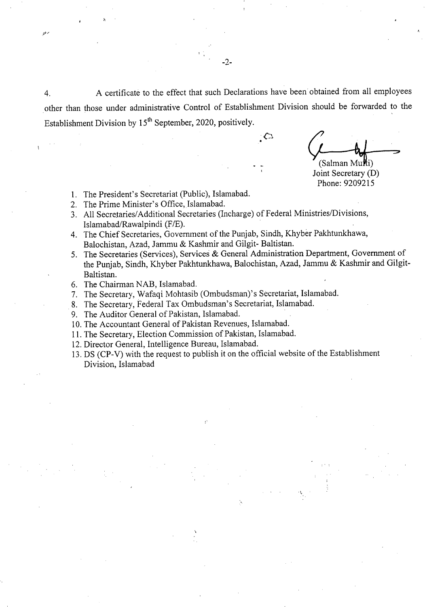4. A certificate to the effect that such Declarations have been obtained from all employees other than those under administrative Control of Establishment Division should be forwarded to the Establishment Division by 15<sup>th</sup> September, 2020, positively.

€

 $-2-$ 

 $(Salman Multi)$ 

Joint Secretary (D) Phone: 9209215

- 1. The President's Secretariat (Public), Islamabad.
- 2. The Prime Minister's Office, Islamabad.
- All Secretaries/Additional Secretaries (Incharge) of Federal Ministries/Divisions, Islamabad/Rawalpindi (F/E).
- The Chief Secretaries, Government of the Punjab, Sindh, Khyber Pakhtunkhawa, Balochistan, Azad, Jammu & Kashmir and Gilgit- Baltistan.
- 5. The Secretaries (Services), Services & General Administration Department, Government of the Punjab, Sindh, Khyber Pakhtunkhawa, Balochistan, Azad, Jammu *8c* Kashmir and Gilgit-Baltistan.
- 6. The Chairman NAB, Islamabad.
- The Secretary, Wafaqi Mohtasib (Ombudsman)'s Secretariat, Islamabad.
- The Secretary, Federal Tax Ombudsman's Secretariat, Islamabad.
- 9. The Auditor General of Pakistan, Islamabad.
- 10. The Accountant General of Pakistan Revenues, Islamabad.
- 11. The Secretary, Election Commission of Pakistan, Islamabad.
- 12. Director General, Intelligence Bureau, Islamabad.
- DS (CP-V) with the request to publish it on the official website of the Establishment Division, Islamabad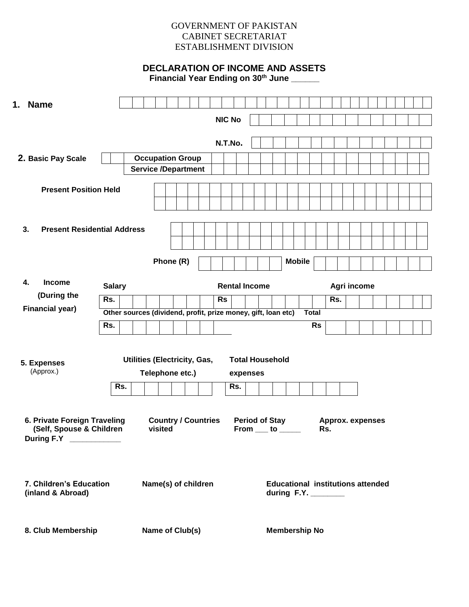# GOVERNMENT OF PAKISTAN CABINET SECRETARIAT ESTABLISHMENT DIVISION

# **DECLARATION OF INCOME AND ASSETS**

**Financial Year Ending on 30th June \_\_\_\_\_\_**

| 1. Name                                  |                                                               |                                                       |                            |  |           |               |     |                                                     |  |                      |               |              |                                          |             |  |  |  |  |
|------------------------------------------|---------------------------------------------------------------|-------------------------------------------------------|----------------------------|--|-----------|---------------|-----|-----------------------------------------------------|--|----------------------|---------------|--------------|------------------------------------------|-------------|--|--|--|--|
|                                          |                                                               |                                                       |                            |  |           | <b>NIC No</b> |     |                                                     |  |                      |               |              |                                          |             |  |  |  |  |
|                                          |                                                               |                                                       |                            |  |           |               |     |                                                     |  |                      |               |              |                                          |             |  |  |  |  |
|                                          |                                                               |                                                       |                            |  |           | N.T.No.       |     |                                                     |  |                      |               |              |                                          |             |  |  |  |  |
| 2. Basic Pay Scale                       |                                                               | <b>Occupation Group</b><br><b>Service /Department</b> |                            |  |           |               |     |                                                     |  |                      |               |              |                                          |             |  |  |  |  |
|                                          |                                                               |                                                       |                            |  |           |               |     |                                                     |  |                      |               |              |                                          |             |  |  |  |  |
| <b>Present Position Held</b>             |                                                               |                                                       |                            |  |           |               |     |                                                     |  |                      |               |              |                                          |             |  |  |  |  |
|                                          |                                                               |                                                       |                            |  |           |               |     |                                                     |  |                      |               |              |                                          |             |  |  |  |  |
|                                          |                                                               |                                                       |                            |  |           |               |     |                                                     |  |                      |               |              |                                          |             |  |  |  |  |
| 3.<br><b>Present Residential Address</b> |                                                               |                                                       |                            |  |           |               |     |                                                     |  |                      |               |              |                                          |             |  |  |  |  |
|                                          |                                                               |                                                       |                            |  |           |               |     |                                                     |  |                      |               |              |                                          |             |  |  |  |  |
|                                          |                                                               |                                                       | Phone (R)                  |  |           |               |     |                                                     |  |                      | <b>Mobile</b> |              |                                          |             |  |  |  |  |
|                                          |                                                               |                                                       |                            |  |           |               |     |                                                     |  |                      |               |              |                                          |             |  |  |  |  |
| 4.<br><b>Income</b>                      | <b>Salary</b>                                                 |                                                       |                            |  |           |               |     | <b>Rental Income</b>                                |  |                      |               |              |                                          | Agri income |  |  |  |  |
| (During the<br><b>Financial year)</b>    | Rs.                                                           |                                                       |                            |  | <b>Rs</b> |               |     |                                                     |  |                      |               |              | Rs.                                      |             |  |  |  |  |
|                                          | Other sources (dividend, profit, prize money, gift, loan etc) |                                                       |                            |  |           |               |     |                                                     |  |                      |               | <b>Total</b> |                                          |             |  |  |  |  |
|                                          | Rs.                                                           |                                                       |                            |  |           |               |     |                                                     |  |                      |               | <b>Rs</b>    |                                          |             |  |  |  |  |
|                                          |                                                               |                                                       |                            |  |           |               |     |                                                     |  |                      |               |              |                                          |             |  |  |  |  |
| 5. Expenses                              |                                                               | <b>Utilities (Electricity, Gas,</b>                   |                            |  |           |               |     | <b>Total Household</b>                              |  |                      |               |              |                                          |             |  |  |  |  |
| (Approx.)                                |                                                               | Telephone etc.)                                       |                            |  |           |               |     | expenses                                            |  |                      |               |              |                                          |             |  |  |  |  |
|                                          | Rs.                                                           |                                                       |                            |  |           |               | Rs. |                                                     |  |                      |               |              |                                          |             |  |  |  |  |
|                                          |                                                               |                                                       |                            |  |           |               |     |                                                     |  |                      |               |              |                                          |             |  |  |  |  |
| 6. Private Foreign Traveling             |                                                               |                                                       | <b>Country / Countries</b> |  |           |               |     | <b>Period of Stay</b>                               |  |                      |               |              | <b>Approx. expenses</b>                  |             |  |  |  |  |
| (Self, Spouse & Children                 |                                                               |                                                       | visited                    |  |           |               |     | From $\rule{1em}{0.15mm}$ to $\rule{1.5mm}{0.15mm}$ |  |                      |               |              | Rs.                                      |             |  |  |  |  |
| During F.Y ___________                   |                                                               |                                                       |                            |  |           |               |     |                                                     |  |                      |               |              |                                          |             |  |  |  |  |
|                                          |                                                               |                                                       |                            |  |           |               |     |                                                     |  |                      |               |              |                                          |             |  |  |  |  |
|                                          |                                                               |                                                       |                            |  |           |               |     |                                                     |  |                      |               |              |                                          |             |  |  |  |  |
| 7. Children's Education                  |                                                               | Name(s) of children                                   |                            |  |           |               |     |                                                     |  |                      |               |              | <b>Educational institutions attended</b> |             |  |  |  |  |
| (inland & Abroad)                        |                                                               |                                                       |                            |  |           |               |     |                                                     |  |                      |               |              | during F.Y. _______                      |             |  |  |  |  |
|                                          |                                                               |                                                       |                            |  |           |               |     |                                                     |  |                      |               |              |                                          |             |  |  |  |  |
| 8. Club Membership                       |                                                               | Name of Club(s)                                       |                            |  |           |               |     |                                                     |  | <b>Membership No</b> |               |              |                                          |             |  |  |  |  |
|                                          |                                                               |                                                       |                            |  |           |               |     |                                                     |  |                      |               |              |                                          |             |  |  |  |  |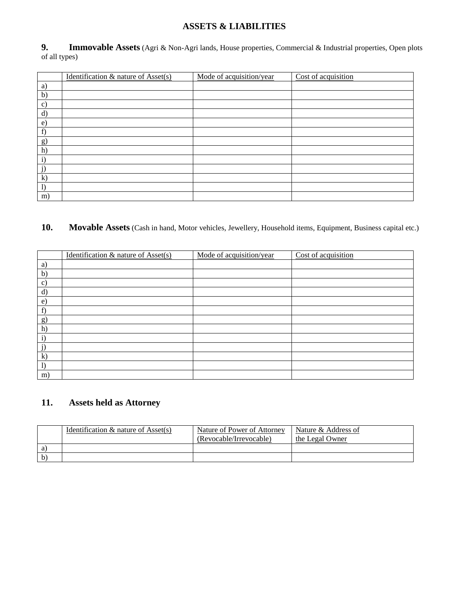# **ASSETS & LIABILITIES**

**Immovable Assets** (Agri & Non-Agri lands, House properties, Commercial & Industrial properties, Open plots 9. Im<br>of all types)

|               | Identification & nature of Asset(s) | Mode of acquisition/year | Cost of acquisition |
|---------------|-------------------------------------|--------------------------|---------------------|
| a)            |                                     |                          |                     |
| b)            |                                     |                          |                     |
| $\mathbf{c})$ |                                     |                          |                     |
| $\mathbf{d}$  |                                     |                          |                     |
| $\epsilon$    |                                     |                          |                     |
| f)            |                                     |                          |                     |
| g)            |                                     |                          |                     |
| h)            |                                     |                          |                     |
| $\mathbf{i}$  |                                     |                          |                     |
| j)            |                                     |                          |                     |
| $\mathbf{k}$  |                                     |                          |                     |
| 1)            |                                     |                          |                     |
| m)            |                                     |                          |                     |

# **10. Movable Assets** (Cash in hand, Motor vehicles, Jewellery, Household items, Equipment, Business capital etc.)

|               | Identification & nature of Asset(s) | Mode of acquisition/year | Cost of acquisition |
|---------------|-------------------------------------|--------------------------|---------------------|
| a)            |                                     |                          |                     |
| b)            |                                     |                          |                     |
| $\mathbf{c})$ |                                     |                          |                     |
| $\mathbf{d}$  |                                     |                          |                     |
| $\epsilon$    |                                     |                          |                     |
| f)            |                                     |                          |                     |
| g)            |                                     |                          |                     |
| h)            |                                     |                          |                     |
| $\mathbf{i}$  |                                     |                          |                     |
|               |                                     |                          |                     |
| $\bf k)$      |                                     |                          |                     |
| $\bf{I}$      |                                     |                          |                     |
| m)            |                                     |                          |                     |

# **11. Assets held as Attorney**

|              | Identification $\&$ nature of Asset(s) | Nature of Power of Attorney<br>(Revocable/Irrevocable) | Nature & Address of<br>the Legal Owner |
|--------------|----------------------------------------|--------------------------------------------------------|----------------------------------------|
| a)           |                                        |                                                        |                                        |
| $\mathbf{b}$ |                                        |                                                        |                                        |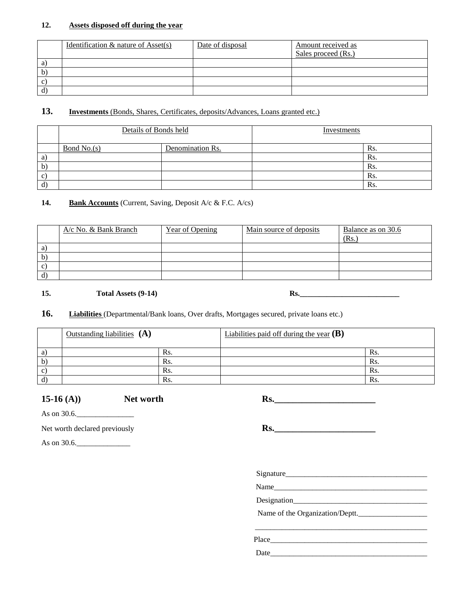### **12. Assets disposed off during the year**

|              | Identification $\&$ nature of Asset(s) | Date of disposal | Amount received as  |
|--------------|----------------------------------------|------------------|---------------------|
|              |                                        |                  | Sales proceed (Rs.) |
| a            |                                        |                  |                     |
| b            |                                        |                  |                     |
| $\mathbf{c}$ |                                        |                  |                     |
| ď            |                                        |                  |                     |

## 13. **Investments** (Bonds, Shares, Certificates, deposits/Advances, Loans granted etc.)

|              | Details of Bonds held |                  | Investments |     |
|--------------|-----------------------|------------------|-------------|-----|
|              | Bond No.(s)           | Denomination Rs. |             | Rs. |
| a)           |                       |                  |             | Rs. |
| $\mathbf{b}$ |                       |                  |             | Rs. |
| $\mathbf{C}$ |                       |                  |             | Rs. |
| d)           |                       |                  |             | Rs. |

### **14. Bank Accounts** (Current, Saving, Deposit A/c & F.C. A/cs)

|              | $A/c$ No. & Bank Branch | <b>Year of Opening</b> | Main source of deposits | Balance as on 30.6<br>(Rs. |
|--------------|-------------------------|------------------------|-------------------------|----------------------------|
| a)           |                         |                        |                         |                            |
| $\mathbf{b}$ |                         |                        |                         |                            |
| c            |                         |                        |                         |                            |
| d)           |                         |                        |                         |                            |

### 15. **15. Total Assets (9-14) Rs. Rs. Rs. Rs. Rs. Rs. Rs. Rs. Rs. Rs. Rs. Rs. Rs. Rs. Rs. Rs. Rs. Rs. Rs. Rs. Rs. Rs. Rs. Rs. Rs. Rs. Rs. Rs. Rs. Rs. Rs. Rs.**

### 16. Liabilities (Departmental/Bank loans, Over drafts, Mortgages secured, private loans etc.)

| Outstanding liabilities $(A)$ |     | Liabilities paid off during the year $(B)$ |     |
|-------------------------------|-----|--------------------------------------------|-----|
|                               | Rs. |                                            | Rs. |
|                               | Rs. |                                            | Rs. |
|                               | Rs. |                                            | Rs. |
|                               | Rs. |                                            | Rs. |

15-16 (A)) **Net worth Rs.** 

As on 30.6.

Net worth declared previously **Rs.** Reserve the clared previously

As on 30.6.

Signature\_\_\_\_\_\_\_\_\_\_\_\_\_\_\_\_\_\_\_\_\_\_\_\_\_\_\_\_\_\_\_\_\_\_\_\_\_

\_\_\_\_\_\_\_\_\_\_\_\_\_\_\_\_\_\_\_\_\_\_\_\_\_\_\_\_\_\_\_\_\_\_\_\_\_\_\_\_\_\_\_\_\_

Name\_\_\_\_\_\_\_\_\_\_\_\_\_\_\_\_\_\_\_\_\_\_\_\_\_\_\_\_\_\_\_\_\_\_\_\_\_\_\_\_

Designation\_\_\_\_\_\_\_\_\_\_\_\_\_\_\_\_\_\_\_\_\_\_\_\_\_\_\_\_\_\_\_\_\_\_\_

Name of the Organization/Deptt.

Place\_\_\_\_\_\_\_\_\_\_\_\_\_\_\_\_\_\_\_\_\_\_\_\_\_\_\_\_\_\_\_\_\_\_\_\_\_\_\_\_\_

Date\_\_\_\_\_\_\_\_\_\_\_\_\_\_\_\_\_\_\_\_\_\_\_\_\_\_\_\_\_\_\_\_\_\_\_\_\_\_\_\_\_